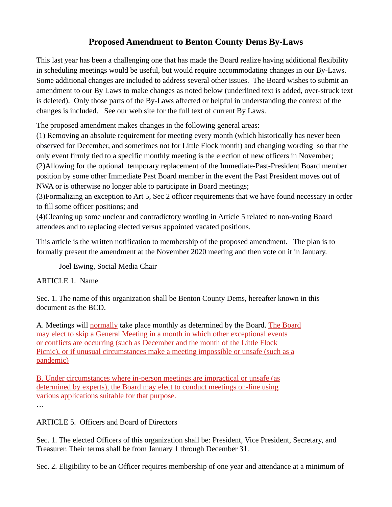## **Proposed Amendment to Benton County Dems By-Laws**

This last year has been a challenging one that has made the Board realize having additional flexibility in scheduling meetings would be useful, but would require accommodating changes in our By-Laws. Some additional changes are included to address several other issues. The Board wishes to submit an amendment to our By Laws to make changes as noted below (underlined text is added, over-struck text is deleted). Only those parts of the By-Laws affected or helpful in understanding the context of the changes is included. See our web site for the full text of current By Laws.

The proposed amendment makes changes in the following general areas:

(1) Removing an absolute requirement for meeting every month (which historically has never been observed for December, and sometimes not for Little Flock month) and changing wording so that the only event firmly tied to a specific monthly meeting is the election of new officers in November; (2)Allowing for the optional temporary replacement of the Immediate-Past-President Board member position by some other Immediate Past Board member in the event the Past President moves out of NWA or is otherwise no longer able to participate in Board meetings;

(3)Formalizing an exception to Art 5, Sec 2 officer requirements that we have found necessary in order to fill some officer positions; and

(4)Cleaning up some unclear and contradictory wording in Article 5 related to non-voting Board attendees and to replacing elected versus appointed vacated positions.

This article is the written notification to membership of the proposed amendment. The plan is to formally present the amendment at the November 2020 meeting and then vote on it in January.

Joel Ewing, Social Media Chair

ARTICLE 1. Name

Sec. 1. The name of this organization shall be Benton County Dems, hereafter known in this document as the BCD.

A. Meetings will normally take place monthly as determined by the Board. The Board may elect to skip a General Meeting in a month in which other exceptional events or conflicts are occurring (such as December and the month of the Little Flock Picnic), or if unusual circumstances make a meeting impossible or unsafe (such as a pandemic)

B. Under circumstances where in-person meetings are impractical or unsafe (as determined by experts), the Board may elect to conduct meetings on-line using various applications suitable for that purpose.

…

ARTICLE 5. Officers and Board of Directors

Sec. 1. The elected Officers of this organization shall be: President, Vice President, Secretary, and Treasurer. Their terms shall be from January 1 through December 31.

Sec. 2. Eligibility to be an Officer requires membership of one year and attendance at a minimum of